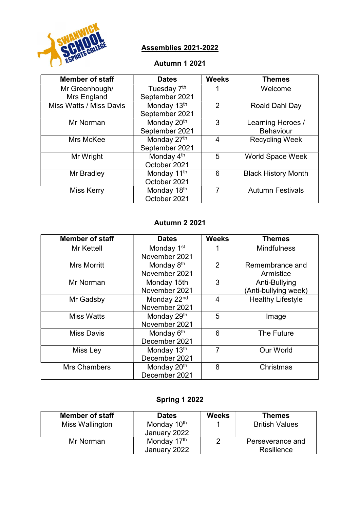

# Assemblies 2021-2022

#### Autumn 1 2021

| <b>Member of staff</b>  | <b>Dates</b>            | <b>Weeks</b>   | <b>Themes</b>              |
|-------------------------|-------------------------|----------------|----------------------------|
| Mr Greenhough/          | Tuesday 7 <sup>th</sup> |                | Welcome                    |
| Mrs England             | September 2021          |                |                            |
| Miss Watts / Miss Davis | Monday 13th             | $\mathfrak{p}$ | Roald Dahl Day             |
|                         | September 2021          |                |                            |
| Mr Norman               | Monday 20 <sup>th</sup> | 3              | Learning Heroes /          |
|                         | September 2021          |                | <b>Behaviour</b>           |
| Mrs McKee               | Monday 27th             | 4              | <b>Recycling Week</b>      |
|                         | September 2021          |                |                            |
| Mr Wright               | Monday 4 <sup>th</sup>  | 5              | <b>World Space Week</b>    |
|                         | October 2021            |                |                            |
| Mr Bradley              | Monday 11 <sup>th</sup> | 6              | <b>Black History Month</b> |
|                         | October 2021            |                |                            |
| <b>Miss Kerry</b>       | Monday 18th             | 7              | <b>Autumn Festivals</b>    |
|                         | October 2021            |                |                            |

#### Autumn 2 2021

| <b>Member of staff</b> | <b>Dates</b>            | <b>Weeks</b>   | <b>Themes</b>            |
|------------------------|-------------------------|----------------|--------------------------|
| Mr Kettell             | Monday 1 <sup>st</sup>  |                | <b>Mindfulness</b>       |
|                        | November 2021           |                |                          |
| <b>Mrs Morritt</b>     | Monday 8 <sup>th</sup>  | $\overline{2}$ | Remembrance and          |
|                        | November 2021           |                | Armistice                |
| Mr Norman              | Monday 15th             | 3              | Anti-Bullying            |
|                        | November 2021           |                | (Anti-bullying week)     |
| Mr Gadsby              | Monday 22 <sup>nd</sup> | 4              | <b>Healthy Lifestyle</b> |
|                        | November 2021           |                |                          |
| <b>Miss Watts</b>      | Monday 29th             | 5              | Image                    |
|                        | November 2021           |                |                          |
| <b>Miss Davis</b>      | Monday 6 <sup>th</sup>  | 6              | The Future               |
|                        | December 2021           |                |                          |
| Miss Ley               | Monday 13th             | 7              | <b>Our World</b>         |
|                        | December 2021           |                |                          |
| <b>Mrs Chambers</b>    | Monday 20 <sup>th</sup> | 8              | Christmas                |
|                        | December 2021           |                |                          |

# Spring 1 2022

| <b>Member of staff</b> | <b>Dates</b>            | <b>Weeks</b> | <b>Themes</b>         |
|------------------------|-------------------------|--------------|-----------------------|
| Miss Wallington        | Monday 10 <sup>th</sup> |              | <b>British Values</b> |
|                        | January 2022            |              |                       |
| Mr Norman              | Monday 17th             |              | Perseverance and      |
|                        | January 2022            |              | Resilience            |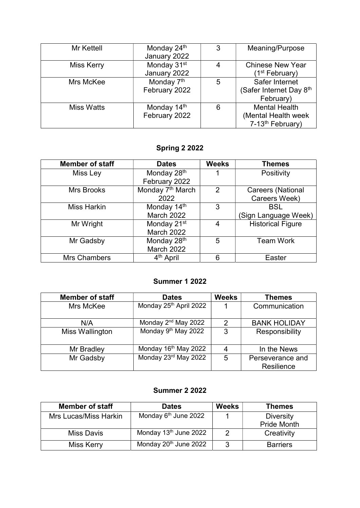| Mr Kettell        | Monday 24th             | 3 | Meaning/Purpose                     |
|-------------------|-------------------------|---|-------------------------------------|
|                   | January 2022            |   |                                     |
| <b>Miss Kerry</b> | Monday 31 <sup>st</sup> | 4 | <b>Chinese New Year</b>             |
|                   | January 2022            |   | (1 <sup>st</sup> February)          |
| Mrs McKee         | Monday 7 <sup>th</sup>  | 5 | Safer Internet                      |
|                   | February 2022           |   | (Safer Internet Day 8 <sup>th</sup> |
|                   |                         |   | February)                           |
| <b>Miss Watts</b> | Monday 14th             | 6 | <b>Mental Health</b>                |
|                   | February 2022           |   | (Mental Health week                 |
|                   |                         |   | 7-13 <sup>th</sup> February)        |

# Spring 2 2022

| <b>Member of staff</b> | <b>Dates</b>                 | <b>Weeks</b> | <b>Themes</b>            |
|------------------------|------------------------------|--------------|--------------------------|
| Miss Ley               | Monday 28th                  |              | Positivity               |
|                        | February 2022                |              |                          |
| <b>Mrs Brooks</b>      | Monday 7 <sup>th</sup> March | 2            | <b>Careers (National</b> |
|                        | 2022                         |              | Careers Week)            |
| <b>Miss Harkin</b>     | Monday 14th                  | 3            | <b>BSL</b>               |
|                        | <b>March 2022</b>            |              | (Sign Language Week)     |
| Mr Wright              | Monday 21 <sup>st</sup>      | 4            | <b>Historical Figure</b> |
|                        | March 2022                   |              |                          |
| Mr Gadsby              | Monday 28 <sup>th</sup>      | 5            | <b>Team Work</b>         |
|                        | March 2022                   |              |                          |
| <b>Mrs Chambers</b>    | 4 <sup>th</sup> April        | 6            | Easter                   |

#### Summer 1 2022

| <b>Member of staff</b> | <b>Dates</b>                     | <b>Weeks</b>  | <b>Themes</b>                  |
|------------------------|----------------------------------|---------------|--------------------------------|
| Mrs McKee              | Monday 25th April 2022           |               | Communication                  |
| N/A                    | Monday 2 <sup>nd</sup> May 2022  | $\mathcal{P}$ | <b>BANK HOLIDAY</b>            |
| Miss Wallington        | Monday 9 <sup>th</sup> May 2022  | 3             | Responsibility                 |
| Mr Bradley             | Monday 16 <sup>th</sup> May 2022 |               | In the News                    |
| Mr Gadsby              | Monday 23rd May 2022             | 5             | Perseverance and<br>Resilience |

### Summer 2 2022

| <b>Member of staff</b> | <b>Dates</b>                      | <b>Weeks</b> | <b>Themes</b>      |
|------------------------|-----------------------------------|--------------|--------------------|
| Mrs Lucas/Miss Harkin  | Monday 6 <sup>th</sup> June 2022  |              | <b>Diversity</b>   |
|                        |                                   |              | <b>Pride Month</b> |
| <b>Miss Davis</b>      | Monday 13 <sup>th</sup> June 2022 |              | Creativity         |
| <b>Miss Kerry</b>      | Monday 20 <sup>th</sup> June 2022 | 3            | <b>Barriers</b>    |